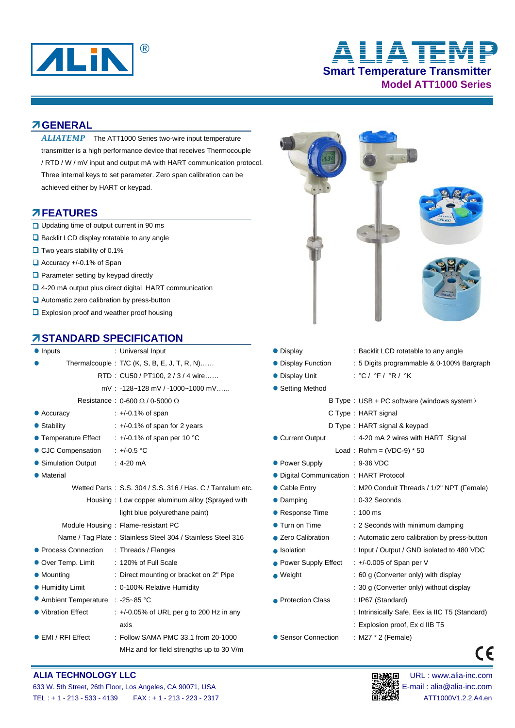

# **Smart Temperature Transmitter Model ATT1000 Series** ® **ALIATEMP**

## **GENERAL**

ALIATEMP The ATT1000 Series two-wire input temperature transmitter is a high performance device that receives Thermocouple / RTD / W / mV input and output mA with HART communication protocol. Three internal keys to set parameter. Zero span calibration can be achieved either by HART or keypad.

#### **FEATURES**

- $\Box$  Updating time of output current in 90 ms
- $\Box$  Backlit LCD display rotatable to any angle
- $\Box$  Two years stability of 0.1%
- Accuracy +/-0.1% of Span
- **Q** Parameter setting by keypad directly
- □ 4-20 mA output plus direct digital HART communication
- $\Box$  Automatic zero calibration by press-button
- **Explosion proof and weather proof housing**

## **STANDARD SPECIFICATION**

| • Inputs                                 | : Universal Input                                           |
|------------------------------------------|-------------------------------------------------------------|
|                                          | Thermalcouple: $T/C$ (K, S, B, E, J, T, R, N)               |
|                                          | RTD: CU50 / PT100, 2 / 3 / 4 wire                           |
|                                          | mV: -128~128 mV / -1000~1000 mV                             |
|                                          | Resistance: $0.600 \Omega / 0.5000 \Omega$                  |
| • Accuracy                               | : +/-0.1% of span                                           |
| • Stability                              | $\div$ +/-0.1% of span for 2 years                          |
| ● Temperature Effect                     | $\div$ +/-0.1% of span per 10 °C                            |
| ● CJC Compensation : +/-0.5 °C           |                                                             |
| • Simulation Output                      | $:4-20 \text{ mA}$                                          |
| • Material                               |                                                             |
|                                          | Wetted Parts: S.S. 304 / S.S. 316 / Has. C / Tantalum et    |
|                                          | Housing: Low copper aluminum alloy (Sprayed with            |
|                                          | light blue polyurethane paint)                              |
|                                          | Module Housing: Flame-resistant PC                          |
|                                          | Name / Tag Plate: Stainless Steel 304 / Stainless Steel 316 |
| ● Process Connection : Threads / Flanges |                                                             |
| Over Temp. Limit                         | : 120% of Full Scale                                        |
| • Mounting                               | : Direct mounting or bracket on 2" Pipe                     |
| <b>• Humidity Limit</b>                  | : 0-100% Relative Humidity                                  |
| Ambient Temperature : -25~85 °C          |                                                             |
| • Vibration Effect                       | $\div$ +/-0.05% of URL per g to 200 Hz in any               |
|                                          | axis                                                        |
| $\bullet$ EMI / RFI Effect               | : Follow SAMA PMC 33.1 from 20-1000                         |
|                                          | MHz and for field strengths up to 30 V/m                    |



- : Explosion proof, Ex d IIB T5
- Sensor Connection : M27 \* 2 (Female)

# (E



#### 633 W. 5th Street, 26th Floor, Los Angeles, CA 90071, USA E-mail : alia@alia-inc.com TEL : + 1 - 213 - 533 - 4139 FAX : + 1 - 213 - 223 - 2317 ATT1000V1.2.2.A4.en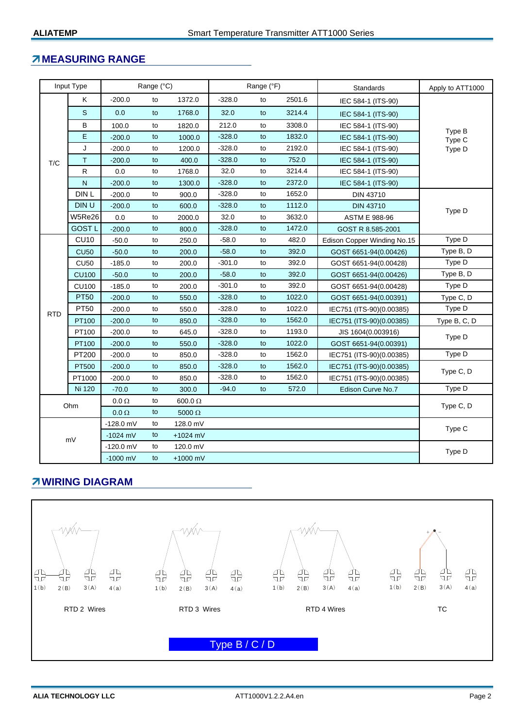# **MEASURING RANGE**

| Input Type |               | Range (°C)   |    |                | Range (°F) |    |        | Standards                   | Apply to ATT1000 |  |
|------------|---------------|--------------|----|----------------|------------|----|--------|-----------------------------|------------------|--|
| T/C        | Κ             | $-200.0$     | to | 1372.0         | $-328.0$   | to | 2501.6 | IEC 584-1 (ITS-90)          |                  |  |
|            | S             | 0.0          | to | 1768.0         | 32.0       | to | 3214.4 | IEC 584-1 (ITS-90)          |                  |  |
|            | B             | 100.0        | to | 1820.0         | 212.0      | to | 3308.0 | IEC 584-1 (ITS-90)          | Type B<br>Type C |  |
|            | E             | $-200.0$     | to | 1000.0         | $-328.0$   | to | 1832.0 | IEC 584-1 (ITS-90)          |                  |  |
|            | J             | $-200.0$     | to | 1200.0         | $-328.0$   | to | 2192.0 | IEC 584-1 (ITS-90)          | Type D           |  |
|            | T             | $-200.0$     | to | 400.0          | $-328.0$   | to | 752.0  | IEC 584-1 (ITS-90)          |                  |  |
|            | R             | 0.0          | to | 1768.0         | 32.0       | to | 3214.4 | IEC 584-1 (ITS-90)          |                  |  |
|            | $\mathsf{N}$  | $-200.0$     | to | 1300.0         | $-328.0$   | to | 2372.0 | IEC 584-1 (ITS-90)          |                  |  |
|            | DIN L         | $-200.0$     | to | 900.0          | $-328.0$   | to | 1652.0 | DIN 43710                   |                  |  |
|            | DIN U         | $-200.0$     | to | 600.0          | $-328.0$   | to | 1112.0 | <b>DIN 43710</b>            | Type D           |  |
|            | W5Re26        | 0.0          | to | 2000.0         | 32.0       | to | 3632.0 | ASTM E 988-96               |                  |  |
|            | <b>GOST L</b> | $-200.0$     | to | 800.0          | $-328.0$   | to | 1472.0 | GOST R 8.585-2001           |                  |  |
|            | <b>CU10</b>   | $-50.0$      | to | 250.0          | $-58.0$    | to | 482.0  | Edison Copper Winding No.15 | Type D           |  |
|            | <b>CU50</b>   | $-50.0$      | to | 200.0          | $-58.0$    | to | 392.0  | GOST 6651-94(0.00426)       | Type B, D        |  |
|            | <b>CU50</b>   | $-185.0$     | to | 200.0          | $-301.0$   | to | 392.0  | GOST 6651-94(0.00428)       | Type D           |  |
|            | <b>CU100</b>  | $-50.0$      | to | 200.0          | $-58.0$    | to | 392.0  | GOST 6651-94(0.00426)       | Type B, D        |  |
|            | <b>CU100</b>  | $-185.0$     | to | 200.0          | $-301.0$   | to | 392.0  | GOST 6651-94(0.00428)       | Type D           |  |
|            | <b>PT50</b>   | $-200.0$     | to | 550.0          | $-328.0$   | to | 1022.0 | GOST 6651-94(0.00391)       | Type C, D        |  |
| <b>RTD</b> | PT50          | $-200.0$     | to | 550.0          | $-328.0$   | to | 1022.0 | IEC751 (ITS-90)(0.00385)    | Type D           |  |
|            | PT100         | $-200.0$     | to | 850.0          | $-328.0$   | to | 1562.0 | IEC751 (ITS-90)(0.00385)    | Type B, C, D     |  |
|            | PT100         | $-200.0$     | to | 645.0          | $-328.0$   | to | 1193.0 | JIS 1604(0.003916)          | Type D           |  |
|            | PT100         | $-200.0$     | to | 550.0          | $-328.0$   | to | 1022.0 | GOST 6651-94(0.00391)       |                  |  |
|            | PT200         | $-200.0$     | to | 850.0          | $-328.0$   | to | 1562.0 | IEC751 (ITS-90)(0.00385)    | Type D           |  |
|            | <b>PT500</b>  | $-200.0$     | to | 850.0          | $-328.0$   | to | 1562.0 | IEC751 (ITS-90)(0.00385)    | Type C, D        |  |
|            | PT1000        | $-200.0$     | to | 850.0          | $-328.0$   | to | 1562.0 | IEC751 (ITS-90)(0.00385)    |                  |  |
|            | Ni 120        | $-70.0$      | to | 300.0          | $-94.0$    | to | 572.0  | Edison Curve No.7           | Type D           |  |
| Ohm        |               | $0.0 \Omega$ | to | 600.0 $\Omega$ |            |    |        |                             | Type C, D        |  |
|            |               | $0.0 \Omega$ | to | 5000 $\Omega$  |            |    |        |                             |                  |  |
| mV         |               | $-128.0$ mV  | to | 128.0 mV       |            |    |        |                             | Type C           |  |
|            |               | $-1024$ mV   | to | +1024 mV       |            |    |        |                             |                  |  |
|            |               | $-120.0$ mV  | to | 120.0 mV       |            |    |        |                             | Type D           |  |
|            |               | $-1000$ mV   | to | $+1000$ mV     |            |    |        |                             |                  |  |

# **WIRING DIAGRAM**

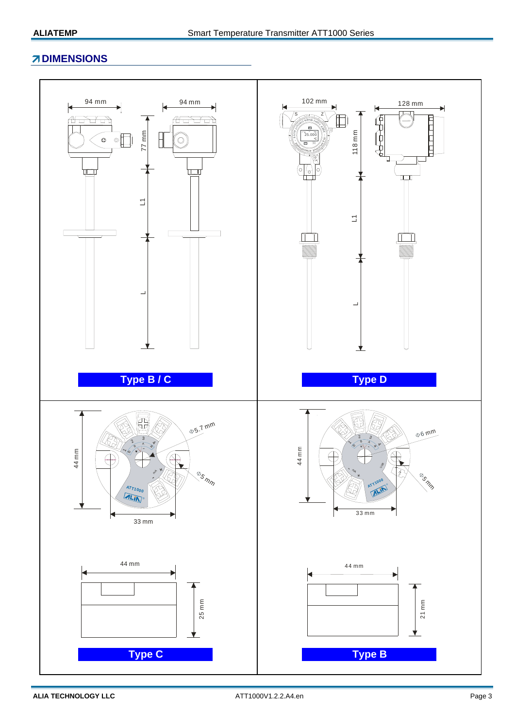# **ZDIMENSIONS**